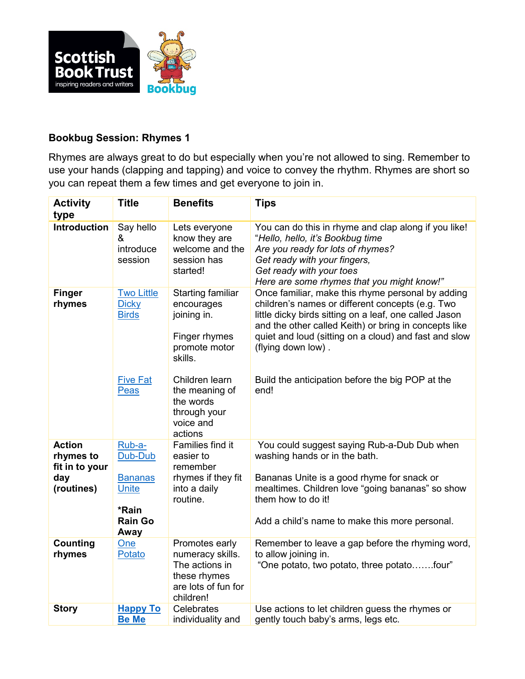

## **Bookbug Session: Rhymes 1**

Rhymes are always great to do but especially when you're not allowed to sing. Remember to use your hands (clapping and tapping) and voice to convey the rhythm. Rhymes are short so you can repeat them a few times and get everyone to join in.

| <b>Activity</b><br>type                      | <b>Title</b>                                              | <b>Benefits</b>                                                                                          | <b>Tips</b>                                                                                                                                                                                                                                                                                             |
|----------------------------------------------|-----------------------------------------------------------|----------------------------------------------------------------------------------------------------------|---------------------------------------------------------------------------------------------------------------------------------------------------------------------------------------------------------------------------------------------------------------------------------------------------------|
| <b>Introduction</b>                          | Say hello<br>&<br>introduce<br>session                    | Lets everyone<br>know they are<br>welcome and the<br>session has<br>started!                             | You can do this in rhyme and clap along if you like!<br>"Hello, hello, it's Bookbug time<br>Are you ready for lots of rhymes?<br>Get ready with your fingers,<br>Get ready with your toes<br>Here are some rhymes that you might know!"                                                                 |
| <b>Finger</b><br>rhymes                      | <b>Two Little</b><br><b>Dicky</b><br><b>Birds</b>         | <b>Starting familiar</b><br>encourages<br>joining in.<br>Finger rhymes<br>promote motor<br>skills.       | Once familiar, make this rhyme personal by adding<br>children's names or different concepts (e.g. Two<br>little dicky birds sitting on a leaf, one called Jason<br>and the other called Keith) or bring in concepts like<br>quiet and loud (sitting on a cloud) and fast and slow<br>(flying down low). |
|                                              | <b>Five Fat</b><br>Peas                                   | Children learn<br>the meaning of<br>the words<br>through your<br>voice and<br>actions                    | Build the anticipation before the big POP at the<br>end!                                                                                                                                                                                                                                                |
| <b>Action</b><br>rhymes to<br>fit in to your | Rub-a-<br>Dub-Dub                                         | Families find it<br>easier to<br>remember                                                                | You could suggest saying Rub-a-Dub Dub when<br>washing hands or in the bath.                                                                                                                                                                                                                            |
| day<br>(routines)                            | <b>Bananas</b><br><b>Unite</b><br>*Rain<br><b>Rain Go</b> | rhymes if they fit<br>into a daily<br>routine.                                                           | Bananas Unite is a good rhyme for snack or<br>mealtimes. Children love "going bananas" so show<br>them how to do it!<br>Add a child's name to make this more personal.                                                                                                                                  |
|                                              | Away                                                      |                                                                                                          |                                                                                                                                                                                                                                                                                                         |
| Counting<br>rhymes                           | One<br>Potato                                             | Promotes early<br>numeracy skills.<br>The actions in<br>these rhymes<br>are lots of fun for<br>children! | Remember to leave a gap before the rhyming word,<br>to allow joining in.<br>"One potato, two potato, three potatofour"                                                                                                                                                                                  |
| <b>Story</b>                                 | <b>Happy To</b><br><b>Be Me</b>                           | Celebrates<br>individuality and                                                                          | Use actions to let children guess the rhymes or<br>gently touch baby's arms, legs etc.                                                                                                                                                                                                                  |